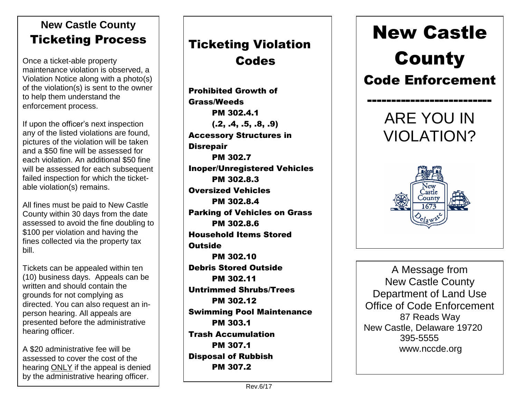## **New Castle County** Ticketing Process

Once a ticket-able property maintenance violation is observed, a Violation Notice along with a photo(s) of the violation(s) is sent to the owner to help them understand the enforcement process.

If upon the officer's next inspection any of the listed violations are found, pictures of the violation will be taken and a \$50 fine will be assessed for each violation. An additional \$50 fine will be assessed for each subsequent failed inspection for which the ticketable violation(s) remains.

All fines must be paid to New Castle County within 30 days from the date assessed to avoid the fine doubling to \$100 per violation and having the fines collected via the property tax bill.

Tickets can be appealed within ten (10) business days. Appeals can be written and should contain the grounds for not complying as directed. You can also request an inperson hearing. All appeals are presented before the administrative hearing officer.

A \$20 administrative fee will be assessed to cover the cost of the hearing ONLY if the appeal is denied by the administrative hearing officer.

## Ticketing Violation Codes

Prohibited Growth of Grass/Weeds PM 302.4.1 (.2, .4, .5, .8, .9) Accessory Structures in **Disrepair** PM 302.7 Inoper/Unregistered Vehicles PM 302.8.3 Oversized Vehicles PM 302.8.4 Parking of Vehicles on Grass PM 302.8.6 Household Items Stored Outside PM 302.10 Debris Stored Outside PM 302.11 Untrimmed Shrubs/Trees PM 302.12 Swimming Pool Maintenance PM 303.1 Trash Accumulation PM 307.1 Disposal of Rubbish PM 307.2



A Message from New Castle County Department of Land Use Office of Code Enforcement 87 Reads Way New Castle, Delaware 19720 395-5555 www.nccde.org